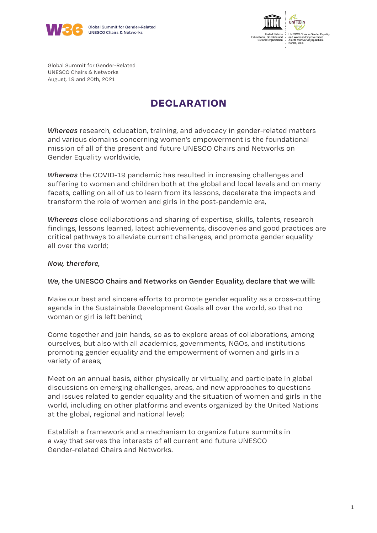



Global Summit for Gender-Related UNESCO Chairs & Networks August, 19 and 20th, 2021

### **DECLARATION**

*Whereas* research, education, training, and advocacy in gender-related matters and various domains concerning women's empowerment is the foundational mission of all of the present and future UNESCO Chairs and Networks on Gender Equality worldwide,

*Whereas* the COVID-19 pandemic has resulted in increasing challenges and suffering to women and children both at the global and local levels and on many facets, calling on all of us to learn from its lessons, decelerate the impacts and transform the role of women and girls in the post-pandemic era,

*Whereas* close collaborations and sharing of expertise, skills, talents, research findings, lessons learned, latest achievements, discoveries and good practices are critical pathways to alleviate current challenges, and promote gender equality all over the world;

#### *Now, therefore,*

#### *We***, the UNESCO Chairs and Networks on Gender Equality, declare that we will:**

Make our best and sincere efforts to promote gender equality as a cross-cutting agenda in the Sustainable Development Goals all over the world, so that no woman or girl is left behind;

Come together and join hands, so as to explore areas of collaborations, among ourselves, but also with all academics, governments, NGOs, and institutions promoting gender equality and the empowerment of women and girls in a variety of areas;

Meet on an annual basis, either physically or virtually, and participate in global discussions on emerging challenges, areas, and new approaches to questions and issues related to gender equality and the situation of women and girls in the world, including on other platforms and events organized by the United Nations at the global, regional and national level;

Establish a framework and a mechanism to organize future summits in a way that serves the interests of all current and future UNESCO Gender-related Chairs and Networks.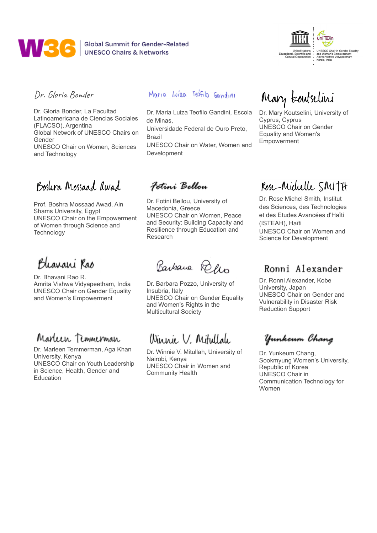

**WAS CONTRESCO Chairs & Networks** 



#### Dr. Gloria Bonder

Dr. Gloria Bonder, La Facultad Latinoamericana de Ciencias Sociales (FLACSO), Argentina Global Network of UNESCO Chairs on Gender UNESCO Chair on Women, Sciences and Technology

### Boslyca Mossaad awad

Prof. Boshra Mossaad Awad, Ain Shams University, Egypt UNESCO Chair on the Empowerment of Women through Science and **Technology** 

Bharani Rao

Dr. Bhavani Rao R. Amrita Vishwa Vidyapeetham, India UNESCO Chair on Gender Equality and Women's Empowerment

### Marleen Temmerman

Dr. Marleen Temmerman, Aga Khan University, Kenya UNESCO Chair on Youth Leadership in Science, Health, Gender and **Education** 

#### Maria Luíza Teofilo Gandini

Dr. Maria Luiza Teofilo Gandini, Escola de Minas, Universidade Federal de Ouro Preto, Brazil

UNESCO Chair on Water, Women and Development

#### Fotini Bellou

Dr. Fotini Bellou, University of Macedonia, Greece UNESCO Chair on Women, Peace and Security: Building Capacity and Resilience through Education and Research

Barbara Refer

Dr. Barbara Pozzo, University of Insubria, Italy UNESCO Chair on Gender Equality and Women's Rights in the Multicultural Society

# Winnie V. Mitullale

Dr. Winnie V. Mitullah, University of Nairobi, Kenya UNESCO Chair in Women and Community Health

# Mary toutselini

Dr. Mary Koutselini, University of Cyprus, Cyprus UNESCO Chair on Gender Equality and Women's Empowerment

# Rose-Michelle SMITH

Dr. Rose Michel Smith, Institut des Sciences, des Technologies et des Etudes Avancées d'Haïti (ISTEAH), Haïti UNESCO Chair on Women and Science for Development

#### Ronni Alexander

Dr. Ronni Alexander, Kobe University, Japan UNESCO Chair on Gender and Vulnerability in Disaster Risk Reduction Support

Yunkeum Chang

Dr. Yunkeum Chang, Sookmyung Women's University, Republic of Korea UNESCO Chair in Communication Technology for Women